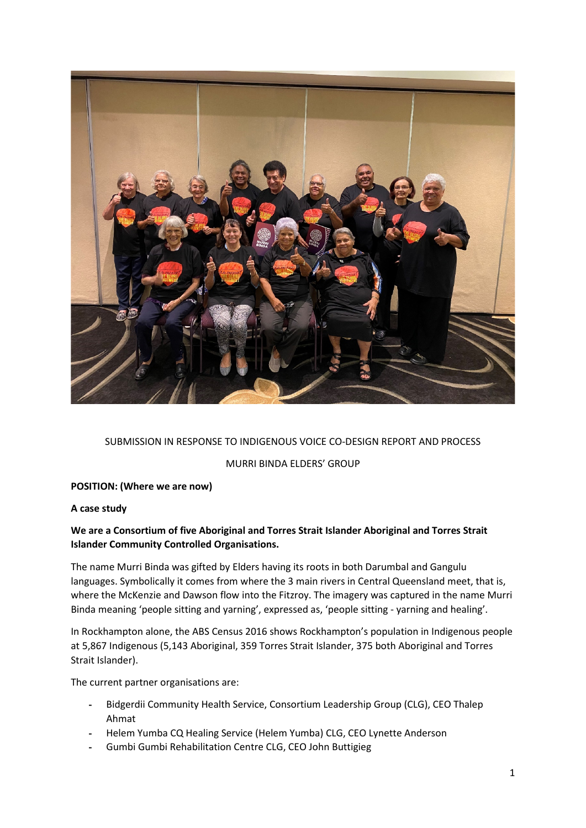

### SUBMISSION IN RESPONSE TO INDIGENOUS VOICE CO-DESIGN REPORT AND PROCESS

MURRI BINDA ELDERS' GROUP

### **POSITION: (Where we are now)**

### **A case study**

# **We are a Consortium of five Aboriginal and Torres Strait Islander Aboriginal and Torres Strait Islander Community Controlled Organisations.**

The name Murri Binda was gifted by Elders having its roots in both Darumbal and Gangulu languages. Symbolically it comes from where the 3 main rivers in Central Queensland meet, that is, where the McKenzie and Dawson flow into the Fitzroy. The imagery was captured in the name Murri Binda meaning 'people sitting and yarning', expressed as, 'people sitting - yarning and healing'.

In Rockhampton alone, the ABS Census 2016 shows Rockhampton's population in Indigenous people at 5,867 Indigenous (5,143 Aboriginal, 359 Torres Strait Islander, 375 both Aboriginal and Torres Strait Islander).

The current partner organisations are:

- Bidgerdii Community Health Service, Consortium Leadership Group (CLG), CEO Thalep Ahmat
- Helem Yumba CQ Healing Service (Helem Yumba) CLG, CEO Lynette Anderson
- Gumbi Gumbi Rehabilitation Centre CLG, CEO John Buttigieg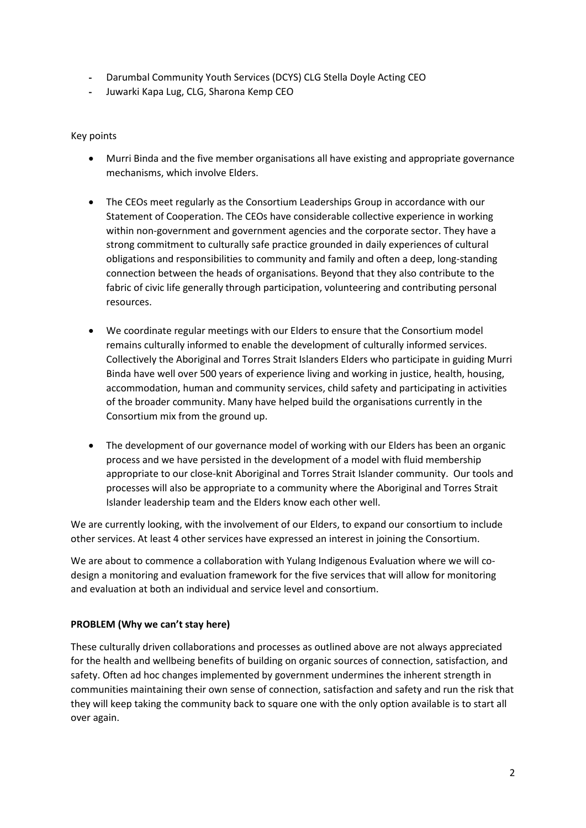- Darumbal Community Youth Services (DCYS) CLG Stella Doyle Acting CEO
- Juwarki Kapa Lug, CLG, Sharona Kemp CEO

Key points

- Murri Binda and the five member organisations all have existing and appropriate governance mechanisms, which involve Elders.
- The CEOs meet regularly as the Consortium Leaderships Group in accordance with our Statement of Cooperation. The CEOs have considerable collective experience in working within non-government and government agencies and the corporate sector. They have a strong commitment to culturally safe practice grounded in daily experiences of cultural obligations and responsibilities to community and family and often a deep, long-standing connection between the heads of organisations. Beyond that they also contribute to the fabric of civic life generally through participation, volunteering and contributing personal resources.
- We coordinate regular meetings with our Elders to ensure that the Consortium model remains culturally informed to enable the development of culturally informed services. Collectively the Aboriginal and Torres Strait Islanders Elders who participate in guiding Murri Binda have well over 500 years of experience living and working in justice, health, housing, accommodation, human and community services, child safety and participating in activities of the broader community. Many have helped build the organisations currently in the Consortium mix from the ground up.
- The development of our governance model of working with our Elders has been an organic process and we have persisted in the development of a model with fluid membership appropriate to our close-knit Aboriginal and Torres Strait Islander community. Our tools and processes will also be appropriate to a community where the Aboriginal and Torres Strait Islander leadership team and the Elders know each other well.

We are currently looking, with the involvement of our Elders, to expand our consortium to include other services. At least 4 other services have expressed an interest in joining the Consortium.

We are about to commence a collaboration with Yulang Indigenous Evaluation where we will codesign a monitoring and evaluation framework for the five services that will allow for monitoring and evaluation at both an individual and service level and consortium.

## **PROBLEM (Why we can't stay here)**

These culturally driven collaborations and processes as outlined above are not always appreciated for the health and wellbeing benefits of building on organic sources of connection, satisfaction, and safety. Often ad hoc changes implemented by government undermines the inherent strength in communities maintaining their own sense of connection, satisfaction and safety and run the risk that they will keep taking the community back to square one with the only option available is to start all over again.